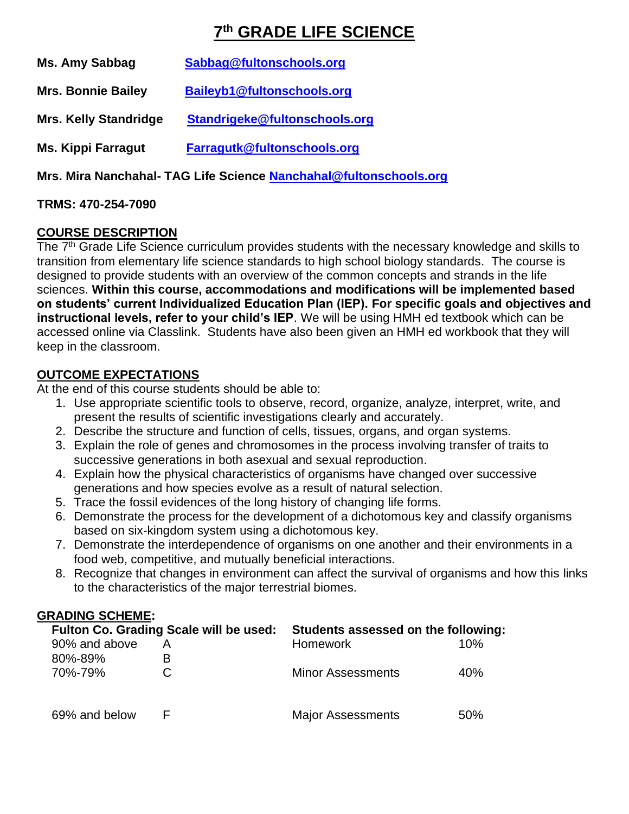# **7 th GRADE LIFE SCIENCE**

| Sabbag@fultonschools.org          |
|-----------------------------------|
| <b>Baileyb1@fultonschools.org</b> |
| Standrigeke@fultonschools.org     |
| Farragutk@fultonschools.org       |
|                                   |

**Mrs. Mira Nanchahal- TAG Life Science [Nanchahal@fultonschools.org](mailto:Nanchahal@fultonschools.org)**

## **TRMS: 470-254-7090**

# **COURSE DESCRIPTION**

The 7<sup>th</sup> Grade Life Science curriculum provides students with the necessary knowledge and skills to transition from elementary life science standards to high school biology standards. The course is designed to provide students with an overview of the common concepts and strands in the life sciences. **Within this course, accommodations and modifications will be implemented based on students' current Individualized Education Plan (IEP). For specific goals and objectives and instructional levels, refer to your child's IEP**. We will be using HMH ed textbook which can be accessed online via Classlink. Students have also been given an HMH ed workbook that they will keep in the classroom.

## **OUTCOME EXPECTATIONS**

At the end of this course students should be able to:

- 1. Use appropriate scientific tools to observe, record, organize, analyze, interpret, write, and present the results of scientific investigations clearly and accurately.
- 2. Describe the structure and function of cells, tissues, organs, and organ systems.
- 3. Explain the role of genes and chromosomes in the process involving transfer of traits to successive generations in both asexual and sexual reproduction.
- 4. Explain how the physical characteristics of organisms have changed over successive generations and how species evolve as a result of natural selection.
- 5. Trace the fossil evidences of the long history of changing life forms.
- 6. Demonstrate the process for the development of a dichotomous key and classify organisms based on six-kingdom system using a dichotomous key.
- 7. Demonstrate the interdependence of organisms on one another and their environments in a food web, competitive, and mutually beneficial interactions.
- 8. Recognize that changes in environment can affect the survival of organisms and how this links to the characteristics of the major terrestrial biomes.

### **GRADING SCHEME:**

| Fulton Co. Grading Scale will be used: |               |  | Students assessed on the following: |     |  |
|----------------------------------------|---------------|--|-------------------------------------|-----|--|
|                                        | 90% and above |  | <b>Homework</b>                     | 10% |  |
|                                        | 80%-89%       |  |                                     |     |  |
|                                        | 70%-79%       |  | <b>Minor Assessments</b>            | 40% |  |
|                                        |               |  |                                     |     |  |
|                                        |               |  |                                     |     |  |
|                                        | 69% and below |  | <b>Major Assessments</b>            | 50% |  |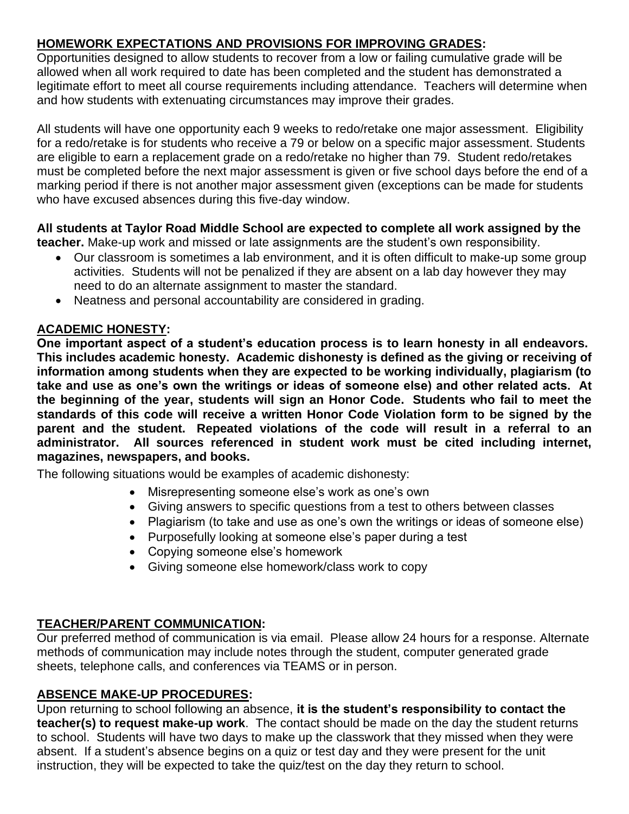### **HOMEWORK EXPECTATIONS AND PROVISIONS FOR IMPROVING GRADES:**

Opportunities designed to allow students to recover from a low or failing cumulative grade will be allowed when all work required to date has been completed and the student has demonstrated a legitimate effort to meet all course requirements including attendance. Teachers will determine when and how students with extenuating circumstances may improve their grades.

All students will have one opportunity each 9 weeks to redo/retake one major assessment. Eligibility for a redo/retake is for students who receive a 79 or below on a specific major assessment. Students are eligible to earn a replacement grade on a redo/retake no higher than 79. Student redo/retakes must be completed before the next major assessment is given or five school days before the end of a marking period if there is not another major assessment given (exceptions can be made for students who have excused absences during this five-day window.

# **All students at Taylor Road Middle School are expected to complete all work assigned by the**

**teacher.** Make-up work and missed or late assignments are the student's own responsibility.

- Our classroom is sometimes a lab environment, and it is often difficult to make-up some group activities. Students will not be penalized if they are absent on a lab day however they may need to do an alternate assignment to master the standard.
- Neatness and personal accountability are considered in grading.

### **ACADEMIC HONESTY:**

**One important aspect of a student's education process is to learn honesty in all endeavors. This includes academic honesty. Academic dishonesty is defined as the giving or receiving of information among students when they are expected to be working individually, plagiarism (to take and use as one's own the writings or ideas of someone else) and other related acts. At the beginning of the year, students will sign an Honor Code. Students who fail to meet the standards of this code will receive a written Honor Code Violation form to be signed by the parent and the student. Repeated violations of the code will result in a referral to an administrator. All sources referenced in student work must be cited including internet, magazines, newspapers, and books.**

The following situations would be examples of academic dishonesty:

- Misrepresenting someone else's work as one's own
- Giving answers to specific questions from a test to others between classes
- Plagiarism (to take and use as one's own the writings or ideas of someone else)
- Purposefully looking at someone else's paper during a test
- Copying someone else's homework
- Giving someone else homework/class work to copy

### **TEACHER/PARENT COMMUNICATION:**

Our preferred method of communication is via email. Please allow 24 hours for a response. Alternate methods of communication may include notes through the student, computer generated grade sheets, telephone calls, and conferences via TEAMS or in person.

### **ABSENCE MAKE-UP PROCEDURES:**

Upon returning to school following an absence, **it is the student's responsibility to contact the teacher(s) to request make-up work**. The contact should be made on the day the student returns to school. Students will have two days to make up the classwork that they missed when they were absent. If a student's absence begins on a quiz or test day and they were present for the unit instruction, they will be expected to take the quiz/test on the day they return to school.